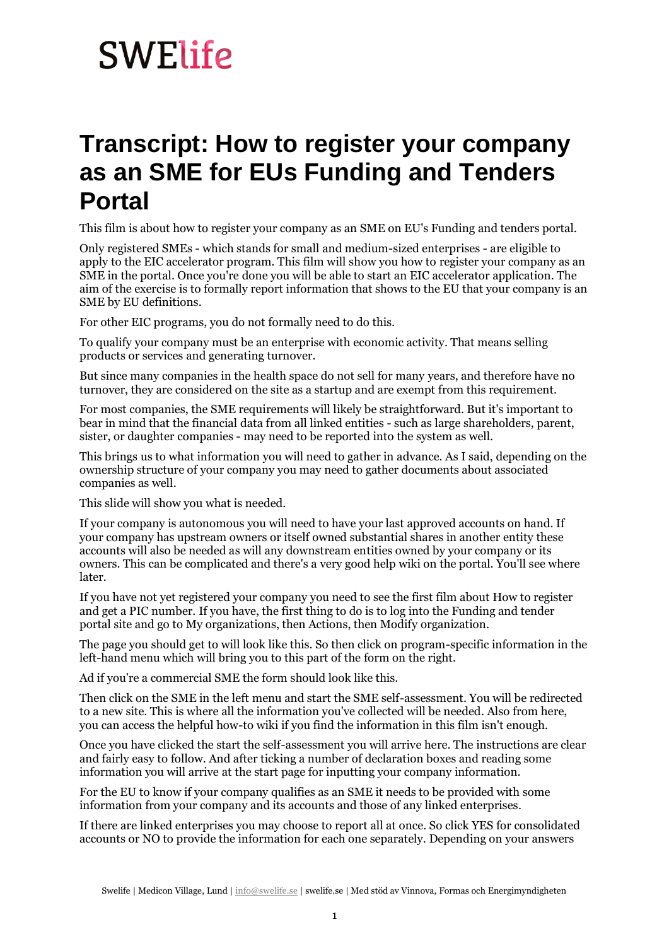## **SWElife**

## **Transcript: How to register your company as an SME for EUs Funding and Tenders Portal**

This film is about how to register your company as an SME on EU's Funding and tenders portal.

Only registered SMEs - which stands for small and medium-sized enterprises - are eligible to apply to the EIC accelerator program. This film will show you how to register your company as an SME in the portal. Once you're done you will be able to start an EIC accelerator application. The aim of the exercise is to formally report information that shows to the EU that your company is an SME by EU definitions.

For other EIC programs, you do not formally need to do this.

To qualify your company must be an enterprise with economic activity. That means selling products or services and generating turnover.

But since many companies in the health space do not sell for many years, and therefore have no turnover, they are considered on the site as a startup and are exempt from this requirement.

For most companies, the SME requirements will likely be straightforward. But it's important to bear in mind that the financial data from all linked entities - such as large shareholders, parent, sister, or daughter companies - may need to be reported into the system as well.

This brings us to what information you will need to gather in advance. As I said, depending on the ownership structure of your company you may need to gather documents about associated companies as well.

This slide will show you what is needed.

If your company is autonomous you will need to have your last approved accounts on hand. If your company has upstream owners or itself owned substantial shares in another entity these accounts will also be needed as will any downstream entities owned by your company or its owners. This can be complicated and there's a very good help wiki on the portal. You'll see where later.

If you have not yet registered your company you need to see the first film about How to register and get a PIC number. If you have, the first thing to do is to log into the Funding and tender portal site and go to My organizations, then Actions, then Modify organization.

The page you should get to will look like this. So then click on program-specific information in the left-hand menu which will bring you to this part of the form on the right.

Ad if you're a commercial SME the form should look like this.

Then click on the SME in the left menu and start the SME self-assessment. You will be redirected to a new site. This is where all the information you've collected will be needed. Also from here, you can access the helpful how-to wiki if you find the information in this film isn't enough.

Once you have clicked the start the self-assessment you will arrive here. The instructions are clear and fairly easy to follow. And after ticking a number of declaration boxes and reading some information you will arrive at the start page for inputting your company information.

For the EU to know if your company qualifies as an SME it needs to be provided with some information from your company and its accounts and those of any linked enterprises.

If there are linked enterprises you may choose to report all at once. So click YES for consolidated accounts or NO to provide the information for each one separately. Depending on your answers